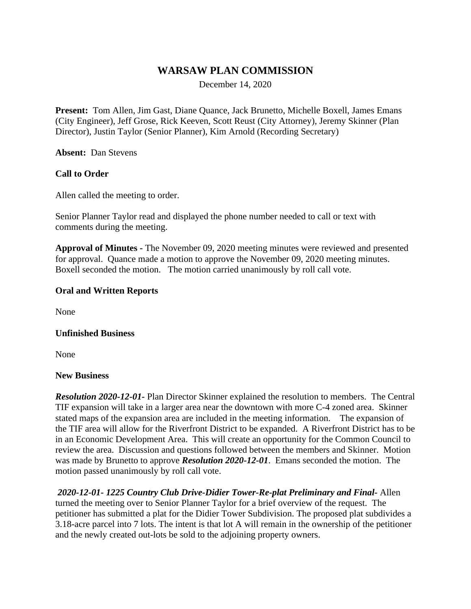# **WARSAW PLAN COMMISSION**

December 14, 2020

**Present:** Tom Allen, Jim Gast, Diane Quance, Jack Brunetto, Michelle Boxell, James Emans (City Engineer), Jeff Grose, Rick Keeven, Scott Reust (City Attorney), Jeremy Skinner (Plan Director), Justin Taylor (Senior Planner), Kim Arnold (Recording Secretary)

**Absent:** Dan Stevens

## **Call to Order**

Allen called the meeting to order.

Senior Planner Taylor read and displayed the phone number needed to call or text with comments during the meeting.

**Approval of Minutes -** The November 09, 2020 meeting minutes were reviewed and presented for approval. Quance made a motion to approve the November 09, 2020 meeting minutes. Boxell seconded the motion. The motion carried unanimously by roll call vote.

### **Oral and Written Reports**

None

#### **Unfinished Business**

None

#### **New Business**

*Resolution 2020-12-01-* Plan Director Skinner explained the resolution to members. The Central TIF expansion will take in a larger area near the downtown with more C-4 zoned area. Skinner stated maps of the expansion area are included in the meeting information. The expansion of the TIF area will allow for the Riverfront District to be expanded. A Riverfront District has to be in an Economic Development Area. This will create an opportunity for the Common Council to review the area. Discussion and questions followed between the members and Skinner. Motion was made by Brunetto to approve *Resolution 2020-12-01*. Emans seconded the motion. The motion passed unanimously by roll call vote.

*2020-12-01- 1225 Country Club Drive-Didier Tower-Re-plat Preliminary and Final-* Allen turned the meeting over to Senior Planner Taylor for a brief overview of the request. The petitioner has submitted a plat for the Didier Tower Subdivision. The proposed plat subdivides a 3.18-acre parcel into 7 lots. The intent is that lot A will remain in the ownership of the petitioner and the newly created out-lots be sold to the adjoining property owners.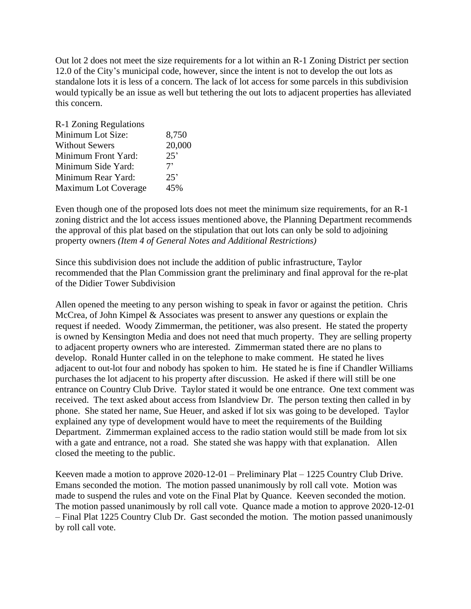Out lot 2 does not meet the size requirements for a lot within an R-1 Zoning District per section 12.0 of the City's municipal code, however, since the intent is not to develop the out lots as standalone lots it is less of a concern. The lack of lot access for some parcels in this subdivision would typically be an issue as well but tethering the out lots to adjacent properties has alleviated this concern.

| R-1 Zoning Regulations |        |
|------------------------|--------|
| Minimum Lot Size:      | 8,750  |
| <b>Without Sewers</b>  | 20,000 |
| Minimum Front Yard:    | 25'    |
| Minimum Side Yard:     | 7'     |
| Minimum Rear Yard:     | 25'    |
| Maximum Lot Coverage   | 45%    |

Even though one of the proposed lots does not meet the minimum size requirements, for an R-1 zoning district and the lot access issues mentioned above, the Planning Department recommends the approval of this plat based on the stipulation that out lots can only be sold to adjoining property owners *(Item 4 of General Notes and Additional Restrictions)*

Since this subdivision does not include the addition of public infrastructure, Taylor recommended that the Plan Commission grant the preliminary and final approval for the re-plat of the Didier Tower Subdivision

Allen opened the meeting to any person wishing to speak in favor or against the petition. Chris McCrea, of John Kimpel & Associates was present to answer any questions or explain the request if needed. Woody Zimmerman, the petitioner, was also present. He stated the property is owned by Kensington Media and does not need that much property. They are selling property to adjacent property owners who are interested. Zimmerman stated there are no plans to develop. Ronald Hunter called in on the telephone to make comment. He stated he lives adjacent to out-lot four and nobody has spoken to him. He stated he is fine if Chandler Williams purchases the lot adjacent to his property after discussion. He asked if there will still be one entrance on Country Club Drive. Taylor stated it would be one entrance. One text comment was received. The text asked about access from Islandview Dr. The person texting then called in by phone. She stated her name, Sue Heuer, and asked if lot six was going to be developed. Taylor explained any type of development would have to meet the requirements of the Building Department. Zimmerman explained access to the radio station would still be made from lot six with a gate and entrance, not a road. She stated she was happy with that explanation. Allen closed the meeting to the public.

Keeven made a motion to approve 2020-12-01 – Preliminary Plat – 1225 Country Club Drive. Emans seconded the motion. The motion passed unanimously by roll call vote. Motion was made to suspend the rules and vote on the Final Plat by Quance. Keeven seconded the motion. The motion passed unanimously by roll call vote. Quance made a motion to approve 2020-12-01 – Final Plat 1225 Country Club Dr. Gast seconded the motion. The motion passed unanimously by roll call vote.